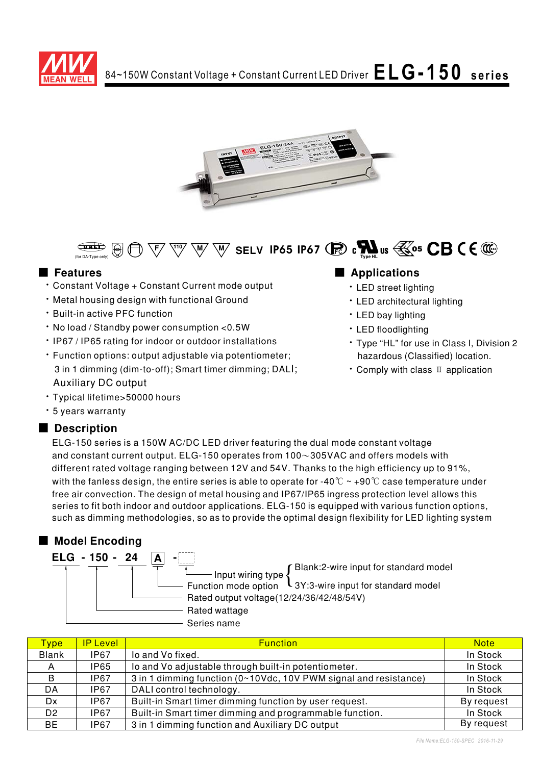





# ■ **Features**

- \* Constant Voltage + Constant Current mode output
- Metal housing design with functional Ground
- Built-in active PFC function
- No load / Standby power consumption < 0.5W
- IP67 / IP65 rating for indoor or outdoor installations
- · Function options: output adjustable via potentiometer; 3 in 1 dimming (dim-to-off); Smart timer dimming; DALI; Auxiliary DC output
- \* Typical lifetime>50000 hours
- $\cdot$  5 years warranty

## ■ Description

# 

- · LED street lighting
- · LED architectural lighting
- · LED bay lighting
- · LED floodlighting
- · Type "HL" for use in Class I, Division 2 hazardous (Classified) location.
- $\cdot$  Comply with class  $\scriptstyle\rm II$  application

ELG-150 series is a 150W AC/DC LED driver featuring the dual mode constant voltage and constant current output. ELG-150 operates from 100 $\sim$ 305VAC and offers models with different rated voltage ranging between 12V and 54V. Thanks to the high efficiency up to 91%, with the fanless design, the entire series is able to operate for -40  $^\circ\!{\rm C}\simeq$  +90  $^\circ\!{\rm C}$  case temperature under free air convection. The design of metal housing and IP67/IP65 ingress protection level allows this series to fit both indoor and outdoor applications. ELG-150 is equipped with various function options, such as dimming methodologies, so as to provide the optimal design flexibility for LED lighting system

## ■ Model Encoding

| ELG - 150 - 24 |                                                                   |
|----------------|-------------------------------------------------------------------|
|                | Blank:2-wire input for standard model<br>Input wiring type {      |
|                |                                                                   |
|                | Function mode option $\sqrt{3Y}$ :3-wire input for standard model |
|                | Rated output voltage(12/24/36/42/48/54V)                          |
|                | Rated wattage                                                     |
|                | Series name                                                       |

| <b>Type</b>    | <b>IP Level</b> | <b>Function</b>                                                  | <b>Note</b> |
|----------------|-----------------|------------------------------------------------------------------|-------------|
| <b>Blank</b>   | <b>IP67</b>     | lo and Vo fixed.                                                 | In Stock    |
| A              | IP65            | lo and Vo adjustable through built-in potentiometer.             | In Stock    |
| B              | IP67            | 3 in 1 dimming function (0~10Vdc, 10V PWM signal and resistance) | In Stock    |
| DA             | IP67            | DALI control technology.                                         | In Stock    |
| Dx.            | IP67            | Built-in Smart timer dimming function by user request.           | By request  |
| D <sub>2</sub> | IP67            | Built-in Smart timer dimming and programmable function.          | In Stock    |
| BE             | IP67            | 3 in 1 dimming function and Auxiliary DC output                  | By request  |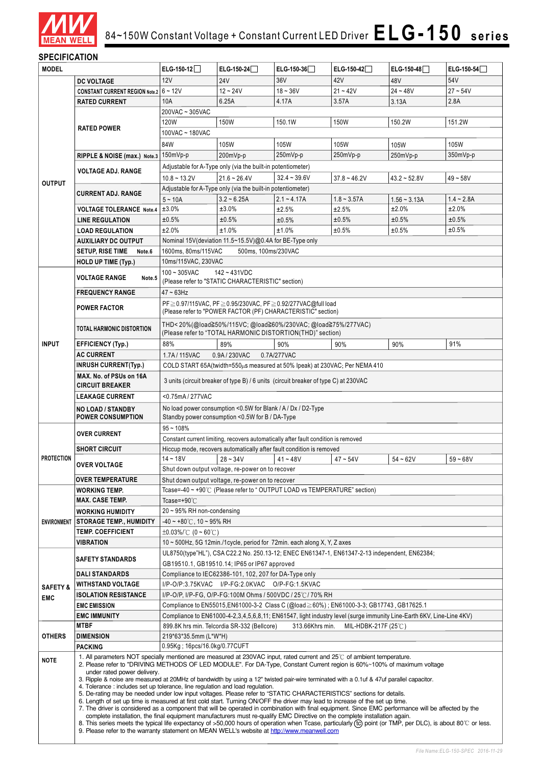

### **SPECIFICATION**

| <b>MODEL</b>        |                                                                                                                                                                                                                                                                                                                                                                                                                                                                                                                                                                                                                                                                                                                                                                                                                                                                                                                                                                                                                                                           | ELG-150-12                                                                                                                                                 | ELG-150-24                                                                                                      | $ELG-150-36$                                                                                     | ELG-150-42     | ELG-150-48     | ELG-150-54   |
|---------------------|-----------------------------------------------------------------------------------------------------------------------------------------------------------------------------------------------------------------------------------------------------------------------------------------------------------------------------------------------------------------------------------------------------------------------------------------------------------------------------------------------------------------------------------------------------------------------------------------------------------------------------------------------------------------------------------------------------------------------------------------------------------------------------------------------------------------------------------------------------------------------------------------------------------------------------------------------------------------------------------------------------------------------------------------------------------|------------------------------------------------------------------------------------------------------------------------------------------------------------|-----------------------------------------------------------------------------------------------------------------|--------------------------------------------------------------------------------------------------|----------------|----------------|--------------|
|                     | <b>DC VOLTAGE</b>                                                                                                                                                                                                                                                                                                                                                                                                                                                                                                                                                                                                                                                                                                                                                                                                                                                                                                                                                                                                                                         | 12V                                                                                                                                                        | <b>24V</b>                                                                                                      | 36V                                                                                              | 42V            | 48V            | 54V          |
|                     | <b>CONSTANT CURRENT REGION Note.2</b>                                                                                                                                                                                                                                                                                                                                                                                                                                                                                                                                                                                                                                                                                                                                                                                                                                                                                                                                                                                                                     | $6 - 12V$                                                                                                                                                  | $12 - 24V$                                                                                                      | $18 - 36V$                                                                                       | $21 - 42V$     | $24 - 48V$     | $27 - 54V$   |
|                     | <b>RATED CURRENT</b>                                                                                                                                                                                                                                                                                                                                                                                                                                                                                                                                                                                                                                                                                                                                                                                                                                                                                                                                                                                                                                      | 10A                                                                                                                                                        | 6.25A                                                                                                           | 4.17A                                                                                            | 3.57A          | 3.13A          | 2.8A         |
|                     |                                                                                                                                                                                                                                                                                                                                                                                                                                                                                                                                                                                                                                                                                                                                                                                                                                                                                                                                                                                                                                                           | 200VAC ~ 305VAC                                                                                                                                            |                                                                                                                 |                                                                                                  |                |                |              |
|                     |                                                                                                                                                                                                                                                                                                                                                                                                                                                                                                                                                                                                                                                                                                                                                                                                                                                                                                                                                                                                                                                           | 120W                                                                                                                                                       | 150W                                                                                                            | 150.1W                                                                                           | 150W           | 150.2W         | 151.2W       |
|                     | <b>RATED POWER</b>                                                                                                                                                                                                                                                                                                                                                                                                                                                                                                                                                                                                                                                                                                                                                                                                                                                                                                                                                                                                                                        | 100VAC ~ 180VAC                                                                                                                                            |                                                                                                                 |                                                                                                  |                |                |              |
|                     |                                                                                                                                                                                                                                                                                                                                                                                                                                                                                                                                                                                                                                                                                                                                                                                                                                                                                                                                                                                                                                                           | 84W                                                                                                                                                        | 105W                                                                                                            | 105W                                                                                             | 105W           | 105W           | 105W         |
|                     | RIPPLE & NOISE (max.) Note.3                                                                                                                                                                                                                                                                                                                                                                                                                                                                                                                                                                                                                                                                                                                                                                                                                                                                                                                                                                                                                              | 150mVp-p                                                                                                                                                   | 200mVp-p                                                                                                        | 250mVp-p                                                                                         | 250mVp-p       | 250mVp-p       | $350mVp-p$   |
|                     |                                                                                                                                                                                                                                                                                                                                                                                                                                                                                                                                                                                                                                                                                                                                                                                                                                                                                                                                                                                                                                                           |                                                                                                                                                            | Adjustable for A-Type only (via the built-in potentiometer)                                                     |                                                                                                  |                |                |              |
|                     | <b>VOLTAGE ADJ. RANGE</b>                                                                                                                                                                                                                                                                                                                                                                                                                                                                                                                                                                                                                                                                                                                                                                                                                                                                                                                                                                                                                                 | $10.8 - 13.2V$                                                                                                                                             | $21.6 - 26.4V$                                                                                                  | $32.4 - 39.6V$                                                                                   | $37.8 - 46.2V$ | $43.2 - 52.8V$ | $49 - 58V$   |
| <b>OUTPUT</b>       |                                                                                                                                                                                                                                                                                                                                                                                                                                                                                                                                                                                                                                                                                                                                                                                                                                                                                                                                                                                                                                                           |                                                                                                                                                            | Adjustable for A-Type only (via the built-in potentiometer)                                                     |                                                                                                  |                |                |              |
|                     | <b>CURRENT ADJ. RANGE</b>                                                                                                                                                                                                                                                                                                                                                                                                                                                                                                                                                                                                                                                                                                                                                                                                                                                                                                                                                                                                                                 | $5 - 10A$                                                                                                                                                  | $3.2 - 6.25A$                                                                                                   | $2.1 - 4.17A$                                                                                    | $1.8 - 3.57A$  | $1.56 - 3.13A$ | $1.4 - 2.8A$ |
|                     | <b>VOLTAGE TOLERANCE Note.4</b>                                                                                                                                                                                                                                                                                                                                                                                                                                                                                                                                                                                                                                                                                                                                                                                                                                                                                                                                                                                                                           | ±3.0%                                                                                                                                                      | ±3.0%                                                                                                           | ±2.5%                                                                                            | ±2.5%          | ±2.0%          | ±2.0%        |
|                     | <b>LINE REGULATION</b>                                                                                                                                                                                                                                                                                                                                                                                                                                                                                                                                                                                                                                                                                                                                                                                                                                                                                                                                                                                                                                    | ±0.5%                                                                                                                                                      | ±0.5%                                                                                                           | ±0.5%                                                                                            | ±0.5%          | ±0.5%          | ±0.5%        |
|                     | <b>LOAD REGULATION</b>                                                                                                                                                                                                                                                                                                                                                                                                                                                                                                                                                                                                                                                                                                                                                                                                                                                                                                                                                                                                                                    | ±2.0%                                                                                                                                                      | ±1.0%                                                                                                           | ±1.0%                                                                                            | ±0.5%          | ±0.5%          | ±0.5%        |
|                     | <b>AUXILIARY DC OUTPUT</b>                                                                                                                                                                                                                                                                                                                                                                                                                                                                                                                                                                                                                                                                                                                                                                                                                                                                                                                                                                                                                                |                                                                                                                                                            | Nominal 15V(deviation 11.5~15.5V)@0.4A for BE-Type only                                                         |                                                                                                  |                |                |              |
|                     | <b>SETUP, RISE TIME</b><br>Note.6                                                                                                                                                                                                                                                                                                                                                                                                                                                                                                                                                                                                                                                                                                                                                                                                                                                                                                                                                                                                                         | 1600ms. 80ms/115VAC                                                                                                                                        | 500ms. 100ms/230VAC                                                                                             |                                                                                                  |                |                |              |
|                     | HOLD UP TIME (Typ.)                                                                                                                                                                                                                                                                                                                                                                                                                                                                                                                                                                                                                                                                                                                                                                                                                                                                                                                                                                                                                                       | 10ms/115VAC, 230VAC                                                                                                                                        |                                                                                                                 |                                                                                                  |                |                |              |
|                     |                                                                                                                                                                                                                                                                                                                                                                                                                                                                                                                                                                                                                                                                                                                                                                                                                                                                                                                                                                                                                                                           | $100 - 305$ VAC                                                                                                                                            | $142 - 431VDC$                                                                                                  |                                                                                                  |                |                |              |
|                     | <b>VOLTAGE RANGE</b><br>Note.5                                                                                                                                                                                                                                                                                                                                                                                                                                                                                                                                                                                                                                                                                                                                                                                                                                                                                                                                                                                                                            |                                                                                                                                                            | (Please refer to "STATIC CHARACTERISTIC" section)                                                               |                                                                                                  |                |                |              |
|                     | <b>FREQUENCY RANGE</b>                                                                                                                                                                                                                                                                                                                                                                                                                                                                                                                                                                                                                                                                                                                                                                                                                                                                                                                                                                                                                                    | $47 - 63$ Hz                                                                                                                                               |                                                                                                                 |                                                                                                  |                |                |              |
|                     | <b>POWER FACTOR</b>                                                                                                                                                                                                                                                                                                                                                                                                                                                                                                                                                                                                                                                                                                                                                                                                                                                                                                                                                                                                                                       |                                                                                                                                                            |                                                                                                                 | PF ≥ 0.97/115VAC, PF ≥ 0.95/230VAC, PF ≥ 0.92/277VAC@full load                                   |                |                |              |
|                     |                                                                                                                                                                                                                                                                                                                                                                                                                                                                                                                                                                                                                                                                                                                                                                                                                                                                                                                                                                                                                                                           |                                                                                                                                                            |                                                                                                                 | (Please refer to "POWER FACTOR (PF) CHARACTERISTIC" section)                                     |                |                |              |
|                     | <b>TOTAL HARMONIC DISTORTION</b>                                                                                                                                                                                                                                                                                                                                                                                                                                                                                                                                                                                                                                                                                                                                                                                                                                                                                                                                                                                                                          |                                                                                                                                                            |                                                                                                                 | THD<20%(@load≧50%/115VC; @load≧60%/230VAC; @load≧75%/277VAC)                                     |                |                |              |
|                     |                                                                                                                                                                                                                                                                                                                                                                                                                                                                                                                                                                                                                                                                                                                                                                                                                                                                                                                                                                                                                                                           |                                                                                                                                                            |                                                                                                                 | (Please refer to "TOTAL HARMONIC DISTORTION(THD)" section)                                       |                |                |              |
| <b>INPUT</b>        | <b>EFFICIENCY (Typ.)</b>                                                                                                                                                                                                                                                                                                                                                                                                                                                                                                                                                                                                                                                                                                                                                                                                                                                                                                                                                                                                                                  | 88%                                                                                                                                                        | 89%                                                                                                             | 90%                                                                                              | 90%            | 90%            | 91%          |
|                     | <b>AC CURRENT</b>                                                                                                                                                                                                                                                                                                                                                                                                                                                                                                                                                                                                                                                                                                                                                                                                                                                                                                                                                                                                                                         | 1.7A/115VAC                                                                                                                                                | 0.9A/230VAC                                                                                                     | 0.7A/277VAC                                                                                      |                |                |              |
|                     | <b>INRUSH CURRENT(Typ.)</b>                                                                                                                                                                                                                                                                                                                                                                                                                                                                                                                                                                                                                                                                                                                                                                                                                                                                                                                                                                                                                               |                                                                                                                                                            |                                                                                                                 | COLD START 65A(twidth=550µs measured at 50% Ipeak) at 230VAC; Per NEMA 410                       |                |                |              |
|                     | MAX. No. of PSUs on 16A                                                                                                                                                                                                                                                                                                                                                                                                                                                                                                                                                                                                                                                                                                                                                                                                                                                                                                                                                                                                                                   | 3 units (circuit breaker of type B) / 6 units (circuit breaker of type C) at 230VAC                                                                        |                                                                                                                 |                                                                                                  |                |                |              |
|                     | <b>CIRCUIT BREAKER</b>                                                                                                                                                                                                                                                                                                                                                                                                                                                                                                                                                                                                                                                                                                                                                                                                                                                                                                                                                                                                                                    |                                                                                                                                                            |                                                                                                                 |                                                                                                  |                |                |              |
|                     | <b>LEAKAGE CURRENT</b>                                                                                                                                                                                                                                                                                                                                                                                                                                                                                                                                                                                                                                                                                                                                                                                                                                                                                                                                                                                                                                    | <0.75mA/277VAC                                                                                                                                             |                                                                                                                 |                                                                                                  |                |                |              |
|                     | <b>NO LOAD / STANDBY</b><br><b>POWER CONSUMPTION</b>                                                                                                                                                                                                                                                                                                                                                                                                                                                                                                                                                                                                                                                                                                                                                                                                                                                                                                                                                                                                      |                                                                                                                                                            | No load power consumption <0.5W for Blank / A / Dx / D2-Type<br>Standby power consumption <0.5W for B / DA-Type |                                                                                                  |                |                |              |
|                     |                                                                                                                                                                                                                                                                                                                                                                                                                                                                                                                                                                                                                                                                                                                                                                                                                                                                                                                                                                                                                                                           |                                                                                                                                                            |                                                                                                                 |                                                                                                  |                |                |              |
|                     | <b>OVER CURRENT</b>                                                                                                                                                                                                                                                                                                                                                                                                                                                                                                                                                                                                                                                                                                                                                                                                                                                                                                                                                                                                                                       | $95 - 108%$                                                                                                                                                |                                                                                                                 |                                                                                                  |                |                |              |
|                     | <b>SHORT CIRCUIT</b>                                                                                                                                                                                                                                                                                                                                                                                                                                                                                                                                                                                                                                                                                                                                                                                                                                                                                                                                                                                                                                      | Constant current limiting, recovers automatically after fault condition is removed<br>Hiccup mode, recovers automatically after fault condition is removed |                                                                                                                 |                                                                                                  |                |                |              |
| <b>PROTECTION</b>   |                                                                                                                                                                                                                                                                                                                                                                                                                                                                                                                                                                                                                                                                                                                                                                                                                                                                                                                                                                                                                                                           | $14 - 18V$                                                                                                                                                 | $54 - 62V$                                                                                                      | $59 - 68V$                                                                                       |                |                |              |
|                     | <b>OVER VOLTAGE</b>                                                                                                                                                                                                                                                                                                                                                                                                                                                                                                                                                                                                                                                                                                                                                                                                                                                                                                                                                                                                                                       |                                                                                                                                                            | $28 - 34V$                                                                                                      | $41 - 48V$                                                                                       | $47 - 54V$     |                |              |
|                     | <b>OVER TEMPERATURE</b>                                                                                                                                                                                                                                                                                                                                                                                                                                                                                                                                                                                                                                                                                                                                                                                                                                                                                                                                                                                                                                   | Shut down output voltage, re-power on to recover<br>Shut down output voltage, re-power on to recover                                                       |                                                                                                                 |                                                                                                  |                |                |              |
|                     | <b>WORKING TEMP.</b>                                                                                                                                                                                                                                                                                                                                                                                                                                                                                                                                                                                                                                                                                                                                                                                                                                                                                                                                                                                                                                      |                                                                                                                                                            |                                                                                                                 | Tcase=-40 $\sim$ +90 $\degree$ C (Please refer to $\degree$ OUTPUT LOAD vs TEMPERATURE" section) |                |                |              |
|                     | <b>MAX. CASE TEMP.</b>                                                                                                                                                                                                                                                                                                                                                                                                                                                                                                                                                                                                                                                                                                                                                                                                                                                                                                                                                                                                                                    | Tcase=+90 $°C$                                                                                                                                             |                                                                                                                 |                                                                                                  |                |                |              |
|                     | <b>WORKING HUMIDITY</b>                                                                                                                                                                                                                                                                                                                                                                                                                                                                                                                                                                                                                                                                                                                                                                                                                                                                                                                                                                                                                                   | $20 \sim 95\%$ RH non-condensing                                                                                                                           |                                                                                                                 |                                                                                                  |                |                |              |
| <b>ENVIRONMENT</b>  | <b>STORAGE TEMP., HUMIDITY</b>                                                                                                                                                                                                                                                                                                                                                                                                                                                                                                                                                                                                                                                                                                                                                                                                                                                                                                                                                                                                                            | -40 ~ +80℃, 10 ~ 95% RH                                                                                                                                    |                                                                                                                 |                                                                                                  |                |                |              |
|                     | <b>TEMP. COEFFICIENT</b>                                                                                                                                                                                                                                                                                                                                                                                                                                                                                                                                                                                                                                                                                                                                                                                                                                                                                                                                                                                                                                  | $\pm 0.03\%$ (0 ~ 60°C)                                                                                                                                    |                                                                                                                 |                                                                                                  |                |                |              |
|                     | <b>VIBRATION</b>                                                                                                                                                                                                                                                                                                                                                                                                                                                                                                                                                                                                                                                                                                                                                                                                                                                                                                                                                                                                                                          |                                                                                                                                                            |                                                                                                                 | 10 ~ 500Hz, 5G 12min./1cycle, period for 72min. each along X, Y, Z axes                          |                |                |              |
|                     |                                                                                                                                                                                                                                                                                                                                                                                                                                                                                                                                                                                                                                                                                                                                                                                                                                                                                                                                                                                                                                                           |                                                                                                                                                            |                                                                                                                 | UL8750(type"HL"), CSA C22.2 No. 250.13-12; ENEC EN61347-1, EN61347-2-13 independent, EN62384;    |                |                |              |
|                     | <b>SAFETY STANDARDS</b>                                                                                                                                                                                                                                                                                                                                                                                                                                                                                                                                                                                                                                                                                                                                                                                                                                                                                                                                                                                                                                   |                                                                                                                                                            | GB19510.1, GB19510.14; IP65 or IP67 approved                                                                    |                                                                                                  |                |                |              |
|                     | <b>DALI STANDARDS</b>                                                                                                                                                                                                                                                                                                                                                                                                                                                                                                                                                                                                                                                                                                                                                                                                                                                                                                                                                                                                                                     |                                                                                                                                                            | Compliance to IEC62386-101, 102, 207 for DA-Type only                                                           |                                                                                                  |                |                |              |
| <b>SAFETY &amp;</b> | <b>WITHSTAND VOLTAGE</b>                                                                                                                                                                                                                                                                                                                                                                                                                                                                                                                                                                                                                                                                                                                                                                                                                                                                                                                                                                                                                                  |                                                                                                                                                            | I/P-O/P:3.75KVAC I/P-FG:2.0KVAC O/P-FG:1.5KVAC                                                                  |                                                                                                  |                |                |              |
| <b>EMC</b>          | <b>ISOLATION RESISTANCE</b>                                                                                                                                                                                                                                                                                                                                                                                                                                                                                                                                                                                                                                                                                                                                                                                                                                                                                                                                                                                                                               | I/P-O/P, I/P-FG, O/P-FG:100M Ohms / 500VDC / 25℃/ 70% RH                                                                                                   |                                                                                                                 |                                                                                                  |                |                |              |
|                     | <b>EMC EMISSION</b>                                                                                                                                                                                                                                                                                                                                                                                                                                                                                                                                                                                                                                                                                                                                                                                                                                                                                                                                                                                                                                       | Compliance to EN55015, EN61000-3-2 Class C (@load ≥60%); EN61000-3-3; GB17743, GB17625.1                                                                   |                                                                                                                 |                                                                                                  |                |                |              |
|                     | <b>EMC IMMUNITY</b>                                                                                                                                                                                                                                                                                                                                                                                                                                                                                                                                                                                                                                                                                                                                                                                                                                                                                                                                                                                                                                       | Compliance to EN61000-4-2,3,4,5,6,8,11; EN61547, light industry level (surge immunity Line-Earth 6KV, Line-Line 4KV)                                       |                                                                                                                 |                                                                                                  |                |                |              |
|                     | <b>MTBF</b>                                                                                                                                                                                                                                                                                                                                                                                                                                                                                                                                                                                                                                                                                                                                                                                                                                                                                                                                                                                                                                               | 899.8K hrs min. Telcordia SR-332 (Bellcore)<br>313.66Khrs min.<br>MIL-HDBK-217F (25 $\degree$ C)                                                           |                                                                                                                 |                                                                                                  |                |                |              |
| OTHERS              | <b>DIMENSION</b>                                                                                                                                                                                                                                                                                                                                                                                                                                                                                                                                                                                                                                                                                                                                                                                                                                                                                                                                                                                                                                          | 219*63*35.5mm (L*W*H)                                                                                                                                      |                                                                                                                 |                                                                                                  |                |                |              |
|                     | <b>PACKING</b>                                                                                                                                                                                                                                                                                                                                                                                                                                                                                                                                                                                                                                                                                                                                                                                                                                                                                                                                                                                                                                            | 0.95Kg; 16pcs/16.0kg/0.77CUFT                                                                                                                              |                                                                                                                 |                                                                                                  |                |                |              |
| <b>NOTE</b>         | 1. All parameters NOT specially mentioned are measured at 230VAC input, rated current and 25°C of ambient temperature.<br>2. Please refer to "DRIVING METHODS OF LED MODULE". For DA-Type, Constant Current region is 60%~100% of maximum voltage<br>under rated power delivery.<br>3. Ripple & noise are measured at 20MHz of bandwidth by using a 12" twisted pair-wire terminated with a 0.1uf & 47uf parallel capacitor.<br>4. Tolerance: includes set up tolerance, line regulation and load regulation.<br>5. De-rating may be needed under low input voltages. Please refer to "STATIC CHARACTERISTICS" sections for details.<br>6. Length of set up time is measured at first cold start. Turning ON/OFF the driver may lead to increase of the set up time.<br>7. The driver is considered as a component that will be operated in combination with final equipment. Since EMC performance will be affected by the<br>complete installation, the final equipment manufacturers must re-qualify EMC Directive on the complete installation again. |                                                                                                                                                            |                                                                                                                 |                                                                                                  |                |                |              |
|                     | 8. This series meets the typical life expectancy of >50,000 hours of operation when Tcase, particularly (tc) point (or TMP, per DLC), is about 80°C or less.<br>9. Please refer to the warranty statement on MEAN WELL's website at http://www.meanwell.com                                                                                                                                                                                                                                                                                                                                                                                                                                                                                                                                                                                                                                                                                                                                                                                               |                                                                                                                                                            |                                                                                                                 |                                                                                                  |                |                |              |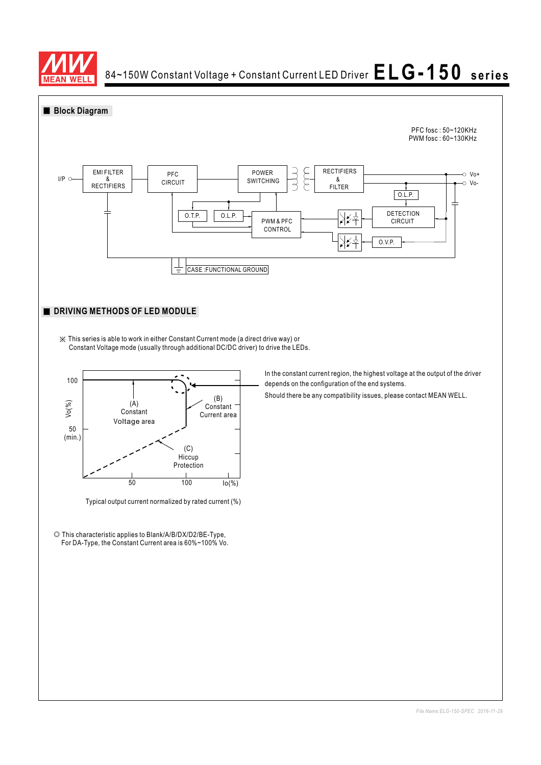

84~150W Constant Voltage + Constant Current LED Driver  $\mathsf{ELG\text{-}150}\;$  series

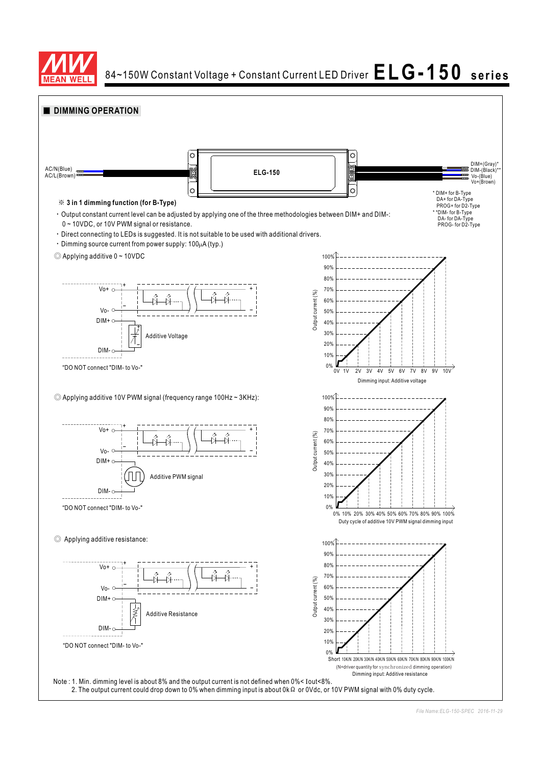

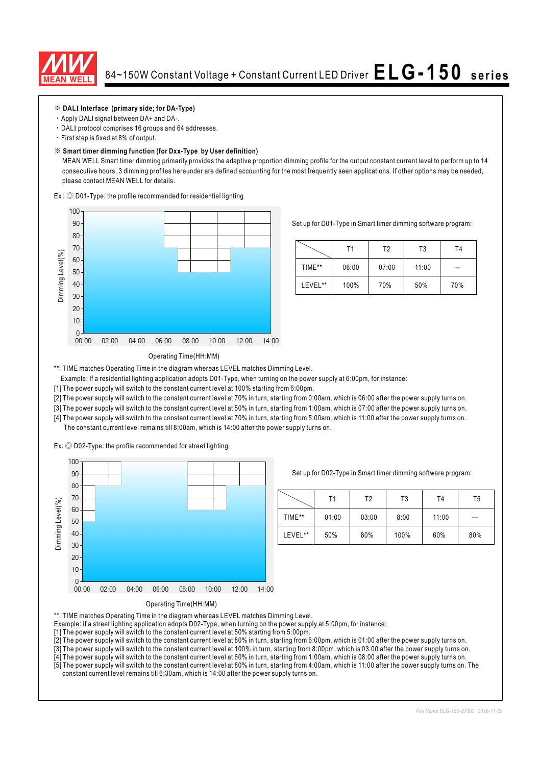

#### ※ **DAL Interface (primary side; for DA-Type) I**

- Apply DALI signal between DA+ and DA-.
- $\cdot$  DALI protocol comprises 16 groups and 64 addresses.
- First step is fixed at 8% of output.

#### ※ **Smart timer dimming function (for Dxx-Type by User definition)**

MEAN WELL Smart timer dimming primarily provides the adaptive proportion dimming profile for the output constant current level to perform up to 14 consecutive hours. 3 dimming profiles hereunder are defined accounting for the most frequently seen applications. If other options may be needed, please contact MEAN WELL for details.

 $Ex:$   $\odot$  D01-Type: the profile recommended for residential lighting



Set up for D01-Type in Smart timer dimming software program:

|         | Τ1    | T2    | T <sub>3</sub> | T4  |
|---------|-------|-------|----------------|-----|
| TIME**  | 06:00 | 07:00 | 11:00          | --- |
| LEVEL** | 100%  | 70%   | 50%            | 70% |

#### Operating Time(HH:MM)

\*\*: TIME matches Operating Time in the diagram whereas LEVEL matches Dimming Level.

Example: If a residential lighting application adopts D01-Type, when turning on the power supply at 6:00pm, for instance:

[1] The power supply will switch to the constant current level at 100% starting from 6:00pm.

[2] The power supply will switch to the constant current level at 70% in turn, starting from 0:00am, which is 06:00 after the power supply turns on.

[3] The power supply will switch to the constant current level at 50% in turn, starting from 1:00am, which is 07:00 after the power supply turns on.

[4] The power supply will switch to the constant current level at 70% in turn, starting from 5:00am, which is 11:00 after the power supply turns on. The constant current level remains till 8:00am, which is 14:00 after the power supply turns on.

Ex:  $\odot$  D02-Type: the profile recommended for street lighting



Set up for D02-Type in Smart timer dimming software program:

|         | Τ1    | Τ2    | T3   | T <sub>4</sub> | T5    |
|---------|-------|-------|------|----------------|-------|
| TIME**  | 01:00 | 03:00 | 8:00 | 11:00          | $---$ |
| LEVEL** | 50%   | 80%   | 100% | 60%            | 80%   |



\*\*: TIME matches Operating Time in the diagram whereas LEVEL matches Dimming Level.

- Example: If a street lighting application adopts D02-Type, when turning on the power supply at 5:00pm, for instance:
- [1] The power supply will switch to the constant current level at 50% starting from 5:00pm.
- [2] The power supply will switch to the constant current level at 80% in turn, starting from 6:00pm, which is 01:00 after the power supply turns on.

[3] The power supply will switch to the constant current level at 100% in turn, starting from 8:00pm, which is 03:00 after the power supply turns on.

[4] The power supply will switch to the constant current level at 60% in turn, starting from 1:00am, which is 08:00 after the power supply turns on. [5] The power supply will switch to the constant current level at 80% in turn, starting from 4:00am, which is 11:00 after the power supply turns on. The

constant current level remains till 6:30am, which is 14:00 after the power supply turns on.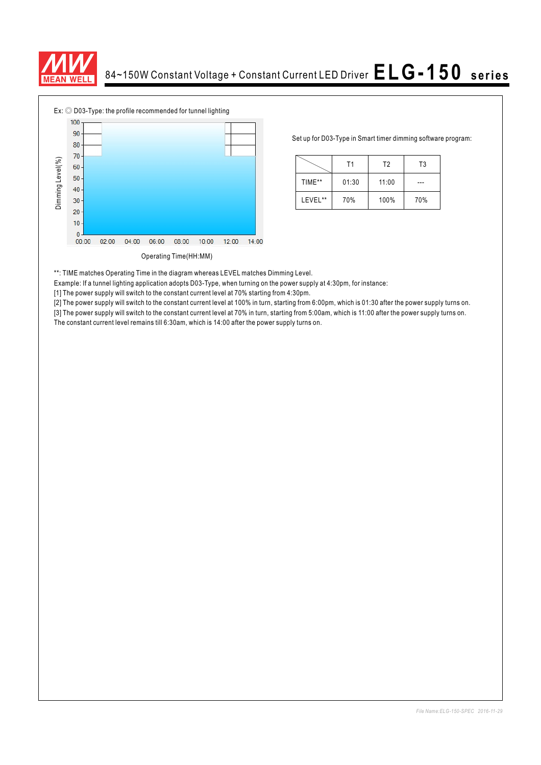



Set up for D03-Type in Smart timer dimming software program:

|         | Τ1    | T <sub>2</sub> | T3  |
|---------|-------|----------------|-----|
| TIME**  | 01:30 | 11:00          |     |
| LEVEL** | 70%   | 100%           | 70% |

\*\*: TIME matches Operating Time in the diagram whereas LEVEL matches Dimming Level.

Example: If a tunnel lighting application adopts D03-Type, when turning on the power supply at 4:30pm, for instance:

[1] The power supply will switch to the constant current level at 70% starting from 4:30pm.

[2] The power supply will switch to the constant current level at 100% in turn, starting from 6:00pm, which is 01:30 after the power supply turns on.

[3] The power supply will switch to the constant current level at 70% in turn, starting from 5:00am, which is 11:00 after the power supply turns on.<br>The constant current level remains till 6:30am, which is 14:00 after the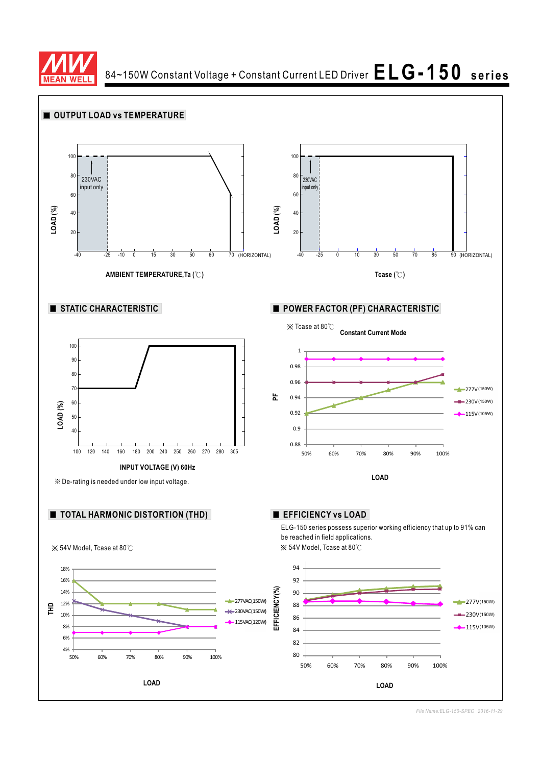

84~150W Constant Voltage + Constant Current LED Driver  $\mathsf{ELG\text{-}150}\;$  series

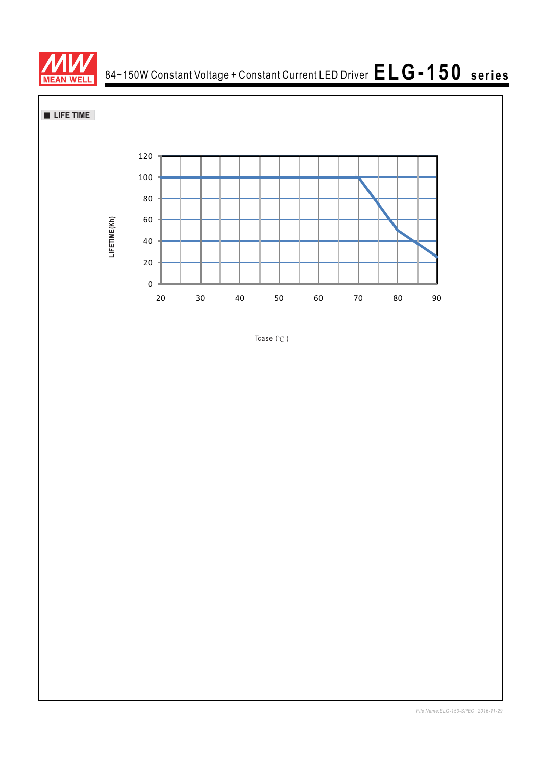

84~150W Constant Voltage + Constant Current LED Driver **ELG-150 series**

**LIFE TIME** 



Tcase  $(°C)$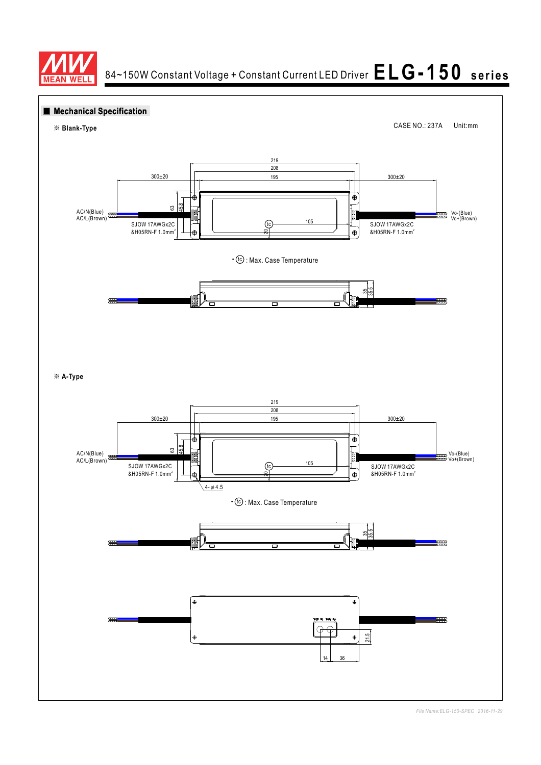

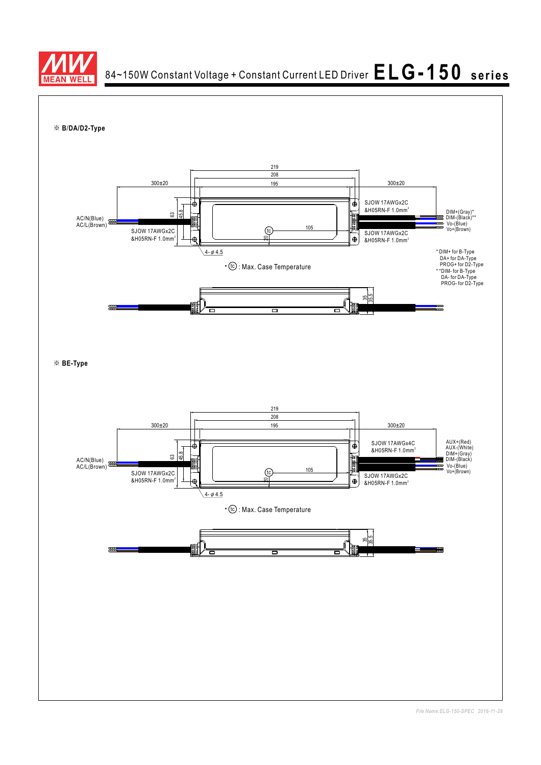

84~150W Constant Voltage + Constant Current LED Driver  $\mathsf{ELG\text{-}150}\;$  series

※ **B DA/D2-Type** /